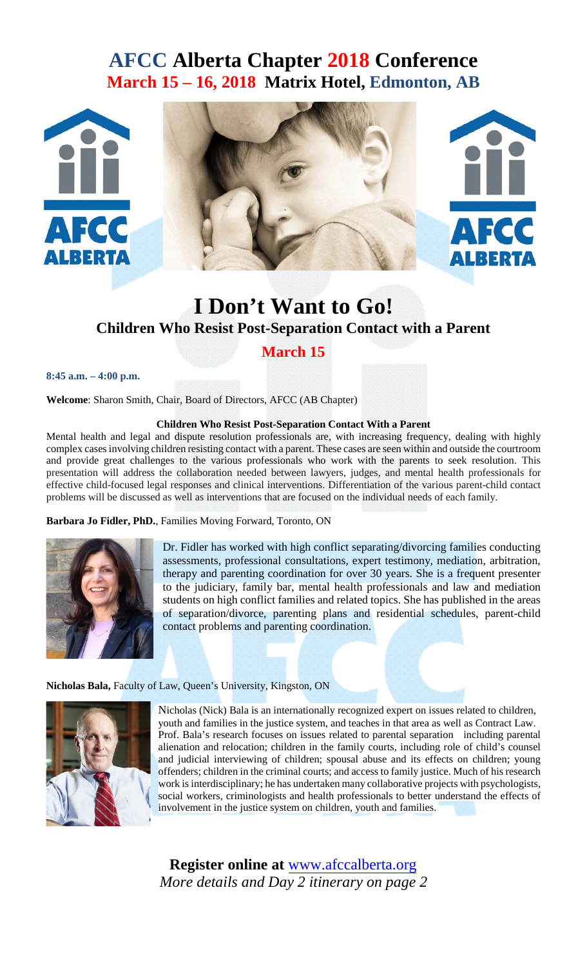# **AFCC Alberta Chapter 2018 Conference March 15 – 16, 2018 Matrix Hotel, Edmonton, AB**



# **I Don't Want to Go! Children Who Resist Post-Separation Contact with a Parent**

## **March 15**

**8:45 a.m. – 4:00 p.m.**

**Welcome**: Sharon Smith, Chair, Board of Directors, AFCC (AB Chapter)

### **Children Who Resist Post-Separation Contact With a Parent**

Mental health and legal and dispute resolution professionals are, with increasing frequency, dealing with highly complex cases involving children resisting contact with a parent. These cases are seen within and outside the courtroom and provide great challenges to the various professionals who work with the parents to seek resolution. This presentation will address the collaboration needed between lawyers, judges, and mental health professionals for effective child-focused legal responses and clinical interventions. Differentiation of the various parent-child contact problems will be discussed as well as interventions that are focused on the individual needs of each family.

**Barbara Jo Fidler, PhD.**, Families Moving Forward, Toronto, ON



Dr. Fidler has worked with high conflict separating/divorcing families conducting assessments, professional consultations, expert testimony, mediation, arbitration, therapy and parenting coordination for over 30 years. She is a frequent presenter to the judiciary, family bar, mental health professionals and law and mediation students on high conflict families and related topics. She has published in the areas of separation/divorce, parenting plans and residential schedules, parent-child contact problems and parenting coordination.

### **Nicholas Bala,** Faculty of Law, Queen's University, Kingston, ON



Nicholas (Nick) Bala is an internationally recognized expert on issues related to children, youth and families in the justice system, and teaches in that area as well as Contract Law. Prof. Bala's research focuses on issues related to parental separation including parental alienation and relocation; children in the family courts, including role of child's counsel and judicial interviewing of children; spousal abuse and its effects on children; young offenders; children in the criminal courts; and access to family justice. Much of his research work is interdisciplinary; he has undertaken many collaborative projects with psychologists, social workers, criminologists and health professionals to better understand the effects of involvement in the justice system on children, youth and families.

**Register online at** [w](http://afccalberta.homestead.com/AFCCALBERTACALENDAR.html)[ww.afccalberta.or](http://afccalberta.homestead.com/~local/~Preview/2018-C0nference.html)[g](http://afccalberta.homestead.com/AFCCALBERTACALENDAR.html) *More details and Day 2 itinerary on page 2*